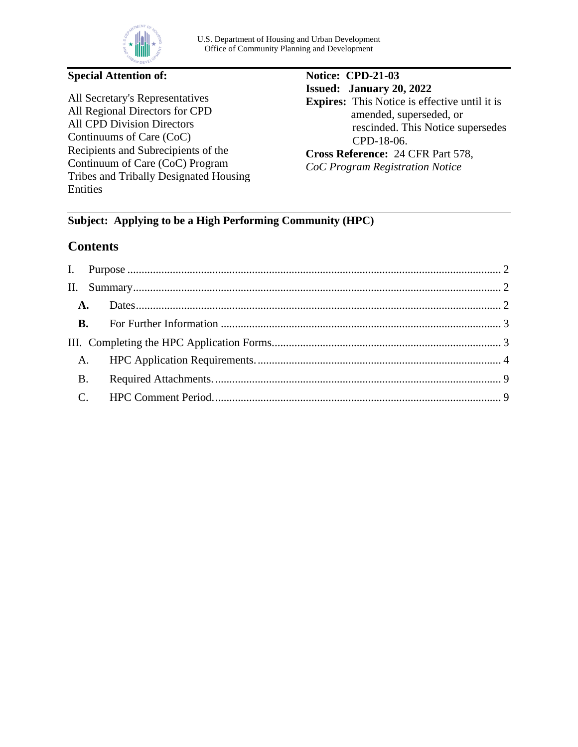

# **Special Attention of:**

All Secretary's Representatives All Regional Directors for CPD All CPD Division Directors Continuums of Care (CoC) Recipients and Subrecipients of the Continuum of Care (CoC) Program Tribes and Tribally Designated Housing Entities

#### **Notice: CPD-21-03**

**Issued: January 20, 2022 Expires:** This Notice is effective until it is amended, superseded, or rescinded. This Notice supersedes CPD-18-06.

**Cross Reference:** 24 CFR Part 578, *CoC Program Registration Notice*

## **Subject: Applying to be a High Performing Community (HPC)**

#### **Contents**

| <b>B.</b> |  |
|-----------|--|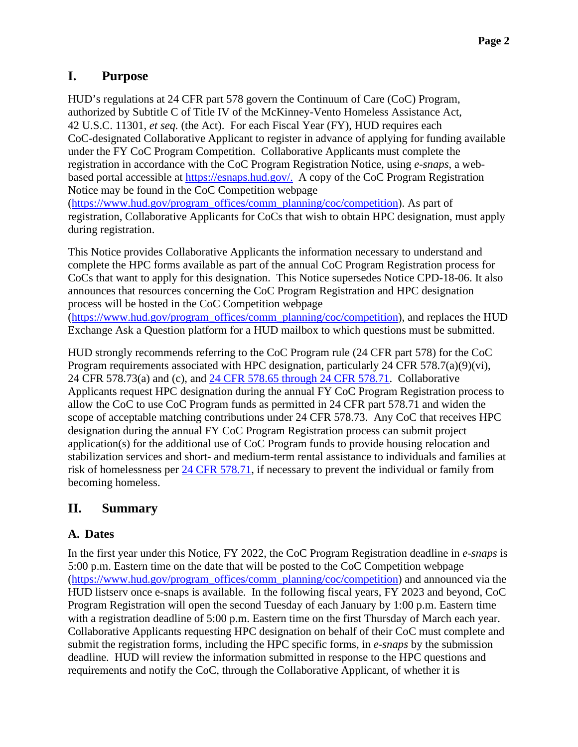# <span id="page-1-0"></span>**I. Purpose**

HUD's regulations at 24 CFR part 578 govern the Continuum of Care (CoC) Program, authorized by Subtitle C of Title IV of the McKinney-Vento Homeless Assistance Act, 42 U.S.C. 11301, *et seq.* (the Act). For each Fiscal Year (FY), HUD requires each CoC-designated Collaborative Applicant to register in advance of applying for funding available under the FY CoC Program Competition. Collaborative Applicants must complete the registration in accordance with the CoC Program Registration Notice, using *e-snaps*, a webbased portal accessible at [https://esnaps.hud.gov/.](https://esnaps.hud.gov/) A copy of the CoC Program Registration Notice may be found in the CoC Competition webpage [\(https://www.hud.gov/program\\_offices/comm\\_planning/coc/competition\)](https://www.hud.gov/program_offices/comm_planning/coc/competition). As part of registration, Collaborative Applicants for CoCs that wish to obtain HPC designation, must apply during registration.

This Notice provides Collaborative Applicants the information necessary to understand and complete the HPC forms available as part of the annual CoC Program Registration process for CoCs that want to apply for this designation. This Notice supersedes Notice CPD-18-06. It also announces that resources concerning the CoC Program Registration and HPC designation process will be hosted in the CoC Competition webpage [\(https://www.hud.gov/program\\_offices/comm\\_planning/coc/competition\)](https://www.hud.gov/program_offices/comm_planning/coc/competition), and replaces the HUD Exchange Ask a Question platform for a HUD mailbox to which questions must be submitted.

HUD strongly recommends referring to the CoC Program rule (24 CFR part 578) for the CoC Program requirements associated with HPC designation, particularly 24 CFR 578.7(a)(9)(vi), 24 CFR 578.73(a) and (c), and [24 CFR 578.65 through 24 CFR 578.71.](https://www.hudexchange.info/resource/2033/hearth-coc-program-interim-rule/) Collaborative Applicants request HPC designation during the annual FY CoC Program Registration process to allow the CoC to use CoC Program funds as permitted in 24 CFR part 578.71 and widen the scope of acceptable matching contributions under 24 CFR 578.73. Any CoC that receives HPC designation during the annual FY CoC Program Registration process can submit project application(s) for the additional use of CoC Program funds to provide housing relocation and stabilization services and short- and medium-term rental assistance to individuals and families at risk of homelessness per [24 CFR 578.71,](https://www.hudexchange.info/resource/1927/hearth-esg-program-and-consolidated-plan-conforming-amendments/) if necessary to prevent the individual or family from becoming homeless.

# <span id="page-1-1"></span>**II. Summary**

# <span id="page-1-2"></span>**A. Dates**

In the first year under this Notice, FY 2022, the CoC Program Registration deadline in *e-snaps* is 5:00 p.m. Eastern time on the date that will be posted to the CoC Competition webpage [\(https://www.hud.gov/program\\_offices/comm\\_planning/coc/competition\)](https://www.hud.gov/program_offices/comm_planning/coc/competition) and announced via the HUD listserv once e-snaps is available. In the following fiscal years, FY 2023 and beyond, CoC Program Registration will open the second Tuesday of each January by 1:00 p.m. Eastern time with a registration deadline of 5:00 p.m. Eastern time on the first Thursday of March each year. Collaborative Applicants requesting HPC designation on behalf of their CoC must complete and submit the registration forms, including the HPC specific forms, in *e-snaps* by the submission deadline. HUD will review the information submitted in response to the HPC questions and requirements and notify the CoC, through the Collaborative Applicant, of whether it is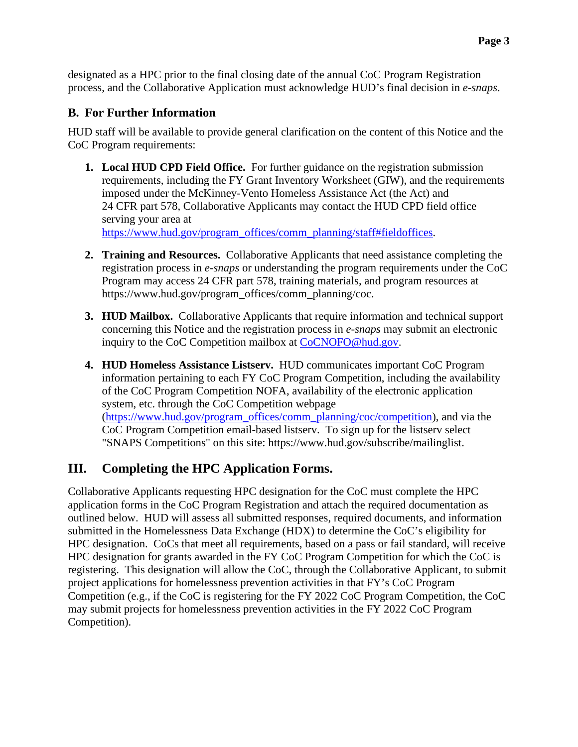designated as a HPC prior to the final closing date of the annual CoC Program Registration process, and the Collaborative Application must acknowledge HUD's final decision in *e-snaps*.

## <span id="page-2-0"></span>**B. For Further Information**

HUD staff will be available to provide general clarification on the content of this Notice and the CoC Program requirements:

- **1. Local HUD CPD Field Office.** For further guidance on the registration submission requirements, including the FY Grant Inventory Worksheet (GIW), and the requirements imposed under the McKinney-Vento Homeless Assistance Act (the Act) and 24 CFR part 578, Collaborative Applicants may contact the HUD CPD field office serving your area at [https://www.hud.gov/program\\_offices/comm\\_planning/staff#fieldoffices.](https://www.hud.gov/program_offices/comm_planning/staff#fieldoffices)
- **2. Training and Resources.** Collaborative Applicants that need assistance completing the registration process in *e-snaps* or understanding the program requirements under the CoC Program may access 24 CFR part 578, training materials, and program resources at https://www.hud.gov/program\_offices/comm\_planning/coc.
- **3. HUD Mailbox.** Collaborative Applicants that require information and technical support concerning this Notice and the registration process in *e-snaps* may submit an electronic inquiry to the CoC Competition mailbox at [CoCNOFO@hud.gov.](mailto:CoCNOFO@hud.gov)
- **4. HUD Homeless Assistance Listserv.** HUD communicates important CoC Program information pertaining to each FY CoC Program Competition, including the availability of the CoC Program Competition NOFA, availability of the electronic application system, etc. through the CoC Competition webpage [\(https://www.hud.gov/program\\_offices/comm\\_planning/coc/competition\)](https://www.hud.gov/program_offices/comm_planning/coc/competition), and via the CoC Program Competition email-based listserv. To sign up for the listserv select "SNAPS Competitions" on this site: https://www.hud.gov/subscribe/mailinglist.

# <span id="page-2-1"></span>**III. Completing the HPC Application Forms.**

Collaborative Applicants requesting HPC designation for the CoC must complete the HPC application forms in the CoC Program Registration and attach the required documentation as outlined below. HUD will assess all submitted responses, required documents, and information submitted in the Homelessness Data Exchange (HDX) to determine the CoC's eligibility for HPC designation. CoCs that meet all requirements, based on a pass or fail standard, will receive HPC designation for grants awarded in the FY CoC Program Competition for which the CoC is registering. This designation will allow the CoC, through the Collaborative Applicant, to submit project applications for homelessness prevention activities in that FY's CoC Program Competition (e.g., if the CoC is registering for the FY 2022 CoC Program Competition, the CoC may submit projects for homelessness prevention activities in the FY 2022 CoC Program Competition).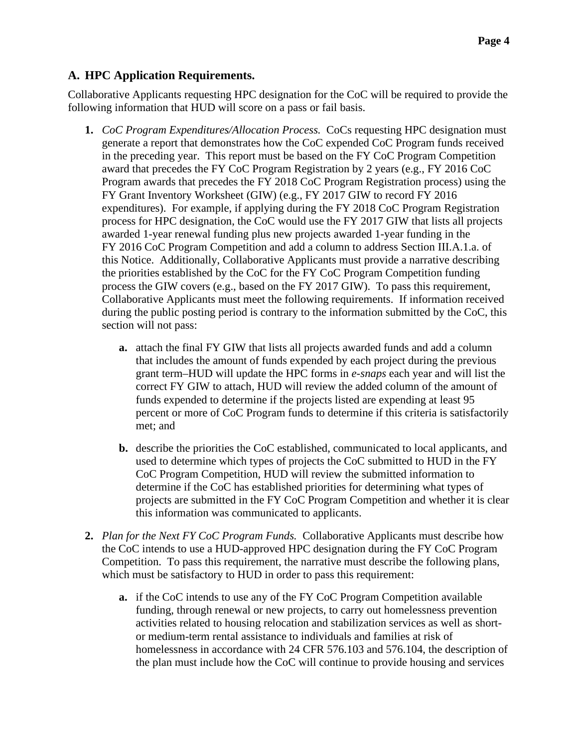## <span id="page-3-0"></span>**A. HPC Application Requirements.**

Collaborative Applicants requesting HPC designation for the CoC will be required to provide the following information that HUD will score on a pass or fail basis.

- **1.** *CoC Program Expenditures/Allocation Process.* CoCs requesting HPC designation must generate a report that demonstrates how the CoC expended CoC Program funds received in the preceding year. This report must be based on the FY CoC Program Competition award that precedes the FY CoC Program Registration by 2 years (e.g., FY 2016 CoC Program awards that precedes the FY 2018 CoC Program Registration process) using the FY Grant Inventory Worksheet (GIW) (e.g., FY 2017 GIW to record FY 2016 expenditures). For example, if applying during the FY 2018 CoC Program Registration process for HPC designation, the CoC would use the FY 2017 GIW that lists all projects awarded 1-year renewal funding plus new projects awarded 1-year funding in the FY 2016 CoC Program Competition and add a column to address Section III.A.1.a. of this Notice. Additionally, Collaborative Applicants must provide a narrative describing the priorities established by the CoC for the FY CoC Program Competition funding process the GIW covers (e.g., based on the FY 2017 GIW). To pass this requirement, Collaborative Applicants must meet the following requirements. If information received during the public posting period is contrary to the information submitted by the CoC, this section will not pass:
	- **a.** attach the final FY GIW that lists all projects awarded funds and add a column that includes the amount of funds expended by each project during the previous grant term–HUD will update the HPC forms in *e-snaps* each year and will list the correct FY GIW to attach, HUD will review the added column of the amount of funds expended to determine if the projects listed are expending at least 95 percent or more of CoC Program funds to determine if this criteria is satisfactorily met; and
	- **b.** describe the priorities the CoC established, communicated to local applicants, and used to determine which types of projects the CoC submitted to HUD in the FY CoC Program Competition, HUD will review the submitted information to determine if the CoC has established priorities for determining what types of projects are submitted in the FY CoC Program Competition and whether it is clear this information was communicated to applicants.
- **2.** *Plan for the Next FY CoC Program Funds.* Collaborative Applicants must describe how the CoC intends to use a HUD-approved HPC designation during the FY CoC Program Competition. To pass this requirement, the narrative must describe the following plans, which must be satisfactory to HUD in order to pass this requirement:
	- **a.** if the CoC intends to use any of the FY CoC Program Competition available funding, through renewal or new projects, to carry out homelessness prevention activities related to housing relocation and stabilization services as well as shortor medium-term rental assistance to individuals and families at risk of homelessness in accordance with 24 CFR 576.103 and 576.104, the description of the plan must include how the CoC will continue to provide housing and services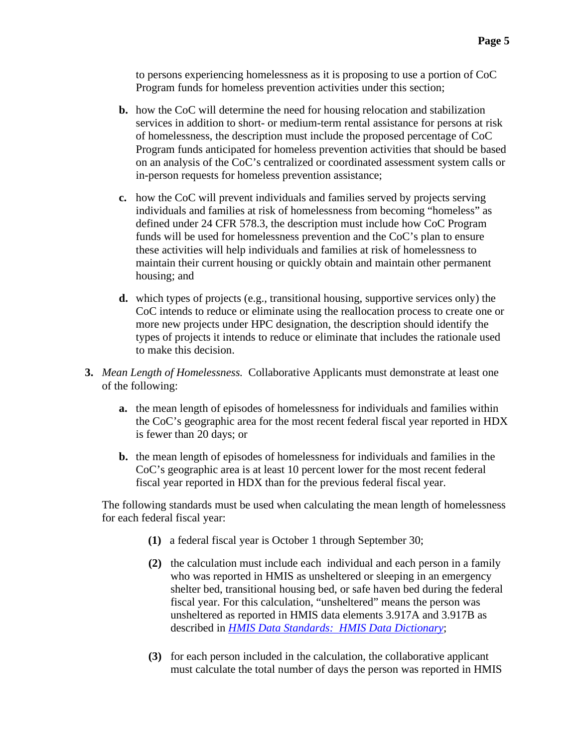to persons experiencing homelessness as it is proposing to use a portion of CoC Program funds for homeless prevention activities under this section;

- **b.** how the CoC will determine the need for housing relocation and stabilization services in addition to short- or medium-term rental assistance for persons at risk of homelessness, the description must include the proposed percentage of CoC Program funds anticipated for homeless prevention activities that should be based on an analysis of the CoC's centralized or coordinated assessment system calls or in-person requests for homeless prevention assistance;
- **c.** how the CoC will prevent individuals and families served by projects serving individuals and families at risk of homelessness from becoming "homeless" as defined under 24 CFR 578.3, the description must include how CoC Program funds will be used for homelessness prevention and the CoC's plan to ensure these activities will help individuals and families at risk of homelessness to maintain their current housing or quickly obtain and maintain other permanent housing; and
- **d.** which types of projects (e.g., transitional housing, supportive services only) the CoC intends to reduce or eliminate using the reallocation process to create one or more new projects under HPC designation, the description should identify the types of projects it intends to reduce or eliminate that includes the rationale used to make this decision.
- **3.** *Mean Length of Homelessness.* Collaborative Applicants must demonstrate at least one of the following:
	- **a.** the mean length of episodes of homelessness for individuals and families within the CoC's geographic area for the most recent federal fiscal year reported in HDX is fewer than 20 days; or
	- **b.** the mean length of episodes of homelessness for individuals and families in the CoC's geographic area is at least 10 percent lower for the most recent federal fiscal year reported in HDX than for the previous federal fiscal year.

The following standards must be used when calculating the mean length of homelessness for each federal fiscal year:

- **(1)** a federal fiscal year is October 1 through September 30;
- **(2)** the calculation must include each individual and each person in a family who was reported in HMIS as unsheltered or sleeping in an emergency shelter bed, transitional housing bed, or safe haven bed during the federal fiscal year. For this calculation, "unsheltered" means the person was unsheltered as reported in HMIS data elements 3.917A and 3.917B as described in *[HMIS Data Standards: HMIS Data Dictionary](https://www.hudexchange.info/resources/documents/HMIS-Data-Dictionary.pdf)*;
- **(3)** for each person included in the calculation, the collaborative applicant must calculate the total number of days the person was reported in HMIS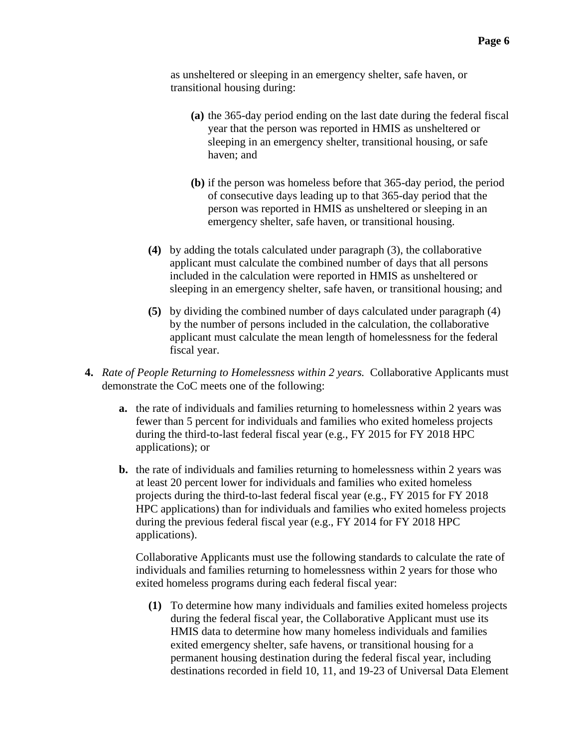as unsheltered or sleeping in an emergency shelter, safe haven, or transitional housing during:

- **(a)** the 365-day period ending on the last date during the federal fiscal year that the person was reported in HMIS as unsheltered or sleeping in an emergency shelter, transitional housing, or safe haven; and
- **(b)** if the person was homeless before that 365-day period, the period of consecutive days leading up to that 365-day period that the person was reported in HMIS as unsheltered or sleeping in an emergency shelter, safe haven, or transitional housing.
- **(4)** by adding the totals calculated under paragraph (3), the collaborative applicant must calculate the combined number of days that all persons included in the calculation were reported in HMIS as unsheltered or sleeping in an emergency shelter, safe haven, or transitional housing; and
- **(5)** by dividing the combined number of days calculated under paragraph (4) by the number of persons included in the calculation, the collaborative applicant must calculate the mean length of homelessness for the federal fiscal year.
- **4.** *Rate of People Returning to Homelessness within 2 years.* Collaborative Applicants must demonstrate the CoC meets one of the following:
	- **a.** the rate of individuals and families returning to homelessness within 2 years was fewer than 5 percent for individuals and families who exited homeless projects during the third-to-last federal fiscal year (e.g., FY 2015 for FY 2018 HPC applications); or
	- **b.** the rate of individuals and families returning to homelessness within 2 years was at least 20 percent lower for individuals and families who exited homeless projects during the third-to-last federal fiscal year (e.g., FY 2015 for FY 2018 HPC applications) than for individuals and families who exited homeless projects during the previous federal fiscal year (e.g., FY 2014 for FY 2018 HPC applications).

Collaborative Applicants must use the following standards to calculate the rate of individuals and families returning to homelessness within 2 years for those who exited homeless programs during each federal fiscal year:

**(1)** To determine how many individuals and families exited homeless projects during the federal fiscal year, the Collaborative Applicant must use its HMIS data to determine how many homeless individuals and families exited emergency shelter, safe havens, or transitional housing for a permanent housing destination during the federal fiscal year, including destinations recorded in field 10, 11, and 19-23 of Universal Data Element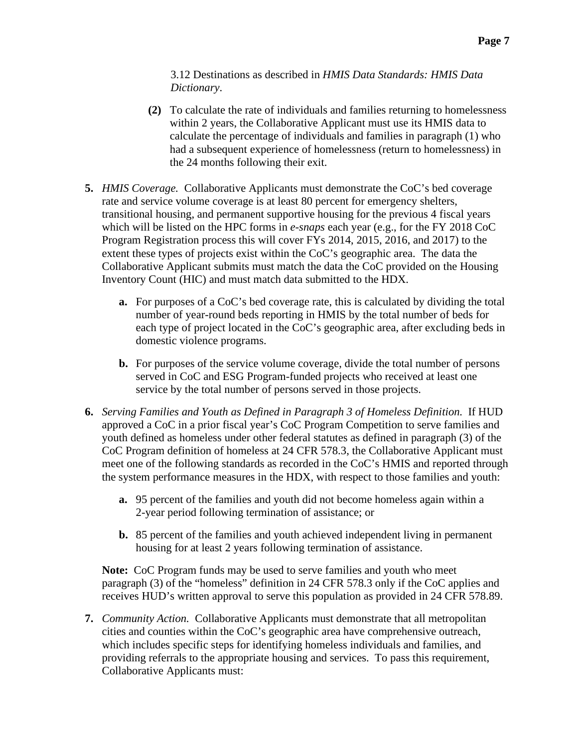3.12 Destinations as described in *HMIS Data Standards: HMIS Data Dictionary*.

- **(2)** To calculate the rate of individuals and families returning to homelessness within 2 years, the Collaborative Applicant must use its HMIS data to calculate the percentage of individuals and families in paragraph (1) who had a subsequent experience of homelessness (return to homelessness) in the 24 months following their exit.
- **5.** *HMIS Coverage.* Collaborative Applicants must demonstrate the CoC's bed coverage rate and service volume coverage is at least 80 percent for emergency shelters, transitional housing, and permanent supportive housing for the previous 4 fiscal years which will be listed on the HPC forms in *e-snaps* each year (e.g., for the FY 2018 CoC Program Registration process this will cover FYs 2014, 2015, 2016, and 2017) to the extent these types of projects exist within the CoC's geographic area. The data the Collaborative Applicant submits must match the data the CoC provided on the Housing Inventory Count (HIC) and must match data submitted to the HDX.
	- **a.** For purposes of a CoC's bed coverage rate, this is calculated by dividing the total number of year-round beds reporting in HMIS by the total number of beds for each type of project located in the CoC's geographic area, after excluding beds in domestic violence programs.
	- **b.** For purposes of the service volume coverage, divide the total number of persons served in CoC and ESG Program-funded projects who received at least one service by the total number of persons served in those projects.
- **6.** *Serving Families and Youth as Defined in Paragraph 3 of Homeless Definition.* If HUD approved a CoC in a prior fiscal year's CoC Program Competition to serve families and youth defined as homeless under other federal statutes as defined in paragraph (3) of the CoC Program definition of homeless at 24 CFR 578.3, the Collaborative Applicant must meet one of the following standards as recorded in the CoC's HMIS and reported through the system performance measures in the HDX, with respect to those families and youth:
	- **a.** 95 percent of the families and youth did not become homeless again within a 2-year period following termination of assistance; or
	- **b.** 85 percent of the families and youth achieved independent living in permanent housing for at least 2 years following termination of assistance.

**Note:** CoC Program funds may be used to serve families and youth who meet paragraph (3) of the "homeless" definition in 24 CFR 578.3 only if the CoC applies and receives HUD's written approval to serve this population as provided in 24 CFR 578.89.

**7.** *Community Action.* Collaborative Applicants must demonstrate that all metropolitan cities and counties within the CoC's geographic area have comprehensive outreach, which includes specific steps for identifying homeless individuals and families, and providing referrals to the appropriate housing and services. To pass this requirement, Collaborative Applicants must: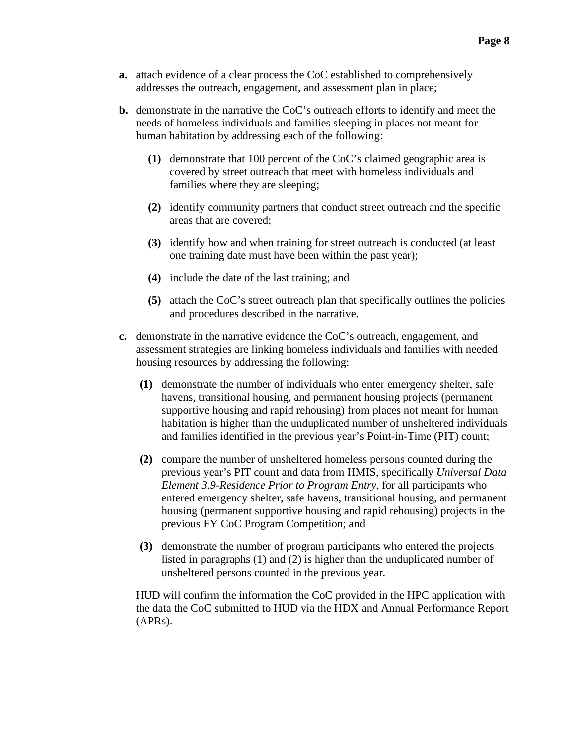- **a.** attach evidence of a clear process the CoC established to comprehensively addresses the outreach, engagement, and assessment plan in place;
- **b.** demonstrate in the narrative the CoC's outreach efforts to identify and meet the needs of homeless individuals and families sleeping in places not meant for human habitation by addressing each of the following:
	- **(1)** demonstrate that 100 percent of the CoC's claimed geographic area is covered by street outreach that meet with homeless individuals and families where they are sleeping;
	- **(2)** identify community partners that conduct street outreach and the specific areas that are covered;
	- **(3)** identify how and when training for street outreach is conducted (at least one training date must have been within the past year);
	- **(4)** include the date of the last training; and
	- **(5)** attach the CoC's street outreach plan that specifically outlines the policies and procedures described in the narrative.
- **c.** demonstrate in the narrative evidence the CoC's outreach, engagement, and assessment strategies are linking homeless individuals and families with needed housing resources by addressing the following:
	- **(1)** demonstrate the number of individuals who enter emergency shelter, safe havens, transitional housing, and permanent housing projects (permanent supportive housing and rapid rehousing) from places not meant for human habitation is higher than the unduplicated number of unsheltered individuals and families identified in the previous year's Point-in-Time (PIT) count;
	- **(2)** compare the number of unsheltered homeless persons counted during the previous year's PIT count and data from HMIS, specifically *Universal Data Element 3.9-Residence Prior to Program Entry*, for all participants who entered emergency shelter, safe havens, transitional housing, and permanent housing (permanent supportive housing and rapid rehousing) projects in the previous FY CoC Program Competition; and
	- **(3)** demonstrate the number of program participants who entered the projects listed in paragraphs (1) and (2) is higher than the unduplicated number of unsheltered persons counted in the previous year.

HUD will confirm the information the CoC provided in the HPC application with the data the CoC submitted to HUD via the HDX and Annual Performance Report (APRs).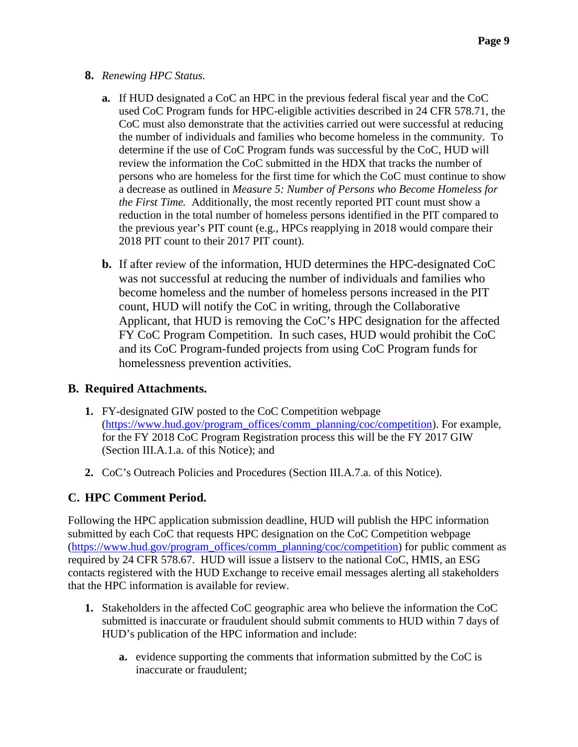- **8.** *Renewing HPC Status.* 
	- **a.** If HUD designated a CoC an HPC in the previous federal fiscal year and the CoC used CoC Program funds for HPC-eligible activities described in 24 CFR 578.71, the CoC must also demonstrate that the activities carried out were successful at reducing the number of individuals and families who become homeless in the community. To determine if the use of CoC Program funds was successful by the CoC, HUD will review the information the CoC submitted in the HDX that tracks the number of persons who are homeless for the first time for which the CoC must continue to show a decrease as outlined in *Measure 5: Number of Persons who Become Homeless for the First Time.* Additionally, the most recently reported PIT count must show a reduction in the total number of homeless persons identified in the PIT compared to the previous year's PIT count (e.g., HPCs reapplying in 2018 would compare their 2018 PIT count to their 2017 PIT count).
	- **b.** If after review of the information, HUD determines the HPC-designated CoC was not successful at reducing the number of individuals and families who become homeless and the number of homeless persons increased in the PIT count, HUD will notify the CoC in writing, through the Collaborative Applicant, that HUD is removing the CoC's HPC designation for the affected FY CoC Program Competition. In such cases, HUD would prohibit the CoC and its CoC Program-funded projects from using CoC Program funds for homelessness prevention activities.

#### <span id="page-8-0"></span>**B. Required Attachments.**

- **1.** FY-designated GIW posted to the CoC Competition webpage [\(https://www.hud.gov/program\\_offices/comm\\_planning/coc/competition\)](https://www.hud.gov/program_offices/comm_planning/coc/competition). For example, for the FY 2018 CoC Program Registration process this will be the FY 2017 GIW (Section III.A.1.a. of this Notice); and
- **2.** CoC's Outreach Policies and Procedures (Section III.A.7.a. of this Notice).

# <span id="page-8-1"></span>**C. HPC Comment Period.**

Following the HPC application submission deadline, HUD will publish the HPC information submitted by each CoC that requests HPC designation on the CoC Competition webpage [\(https://www.hud.gov/program\\_offices/comm\\_planning/coc/competition\)](https://www.hud.gov/program_offices/comm_planning/coc/competition) for public comment as required by 24 CFR 578.67. HUD will issue a listserv to the national CoC, HMIS, an ESG contacts registered with the HUD Exchange to receive email messages alerting all stakeholders that the HPC information is available for review.

- **1.** Stakeholders in the affected CoC geographic area who believe the information the CoC submitted is inaccurate or fraudulent should submit comments to HUD within 7 days of HUD's publication of the HPC information and include:
	- **a.** evidence supporting the comments that information submitted by the CoC is inaccurate or fraudulent;